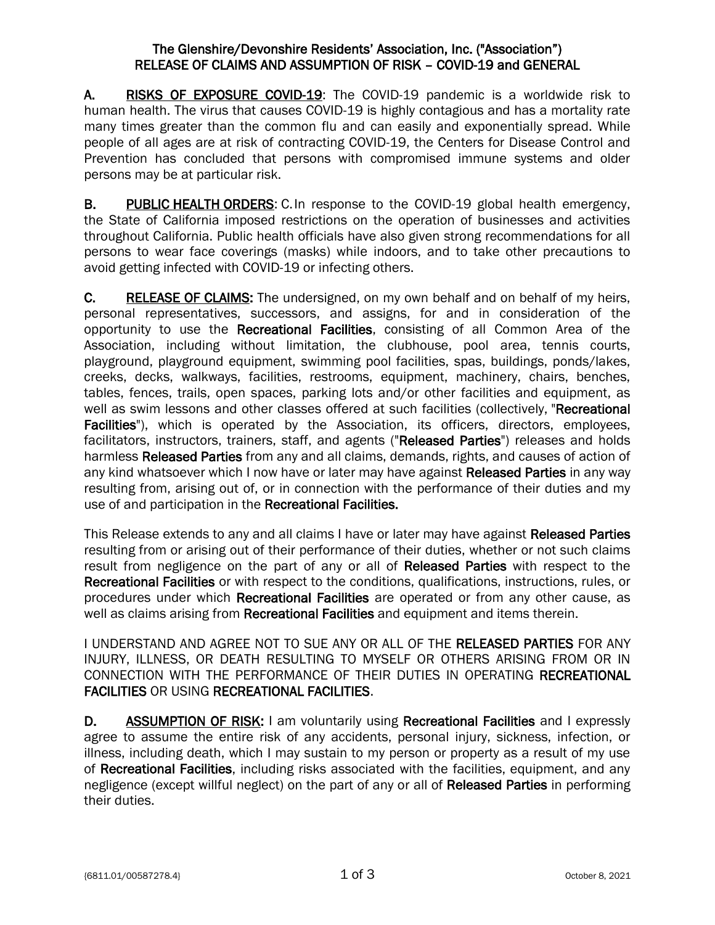## The Glenshire/Devonshire Residents' Association, Inc. ("Association") RELEASE OF CLAIMS AND ASSUMPTION OF RISK – COVID-19 and GENERAL

A. RISKS OF EXPOSURE COVID-19: The COVID-19 pandemic is a worldwide risk to human health. The virus that causes COVID-19 is highly contagious and has a mortality rate many times greater than the common flu and can easily and exponentially spread. While people of all ages are at risk of contracting COVID-19, the Centers for Disease Control and Prevention has concluded that persons with compromised immune systems and older persons may be at particular risk.

B. PUBLIC HEALTH ORDERS: C. In response to the COVID-19 global health emergency, the State of California imposed restrictions on the operation of businesses and activities throughout California. Public health officials have also given strong recommendations for all persons to wear face coverings (masks) while indoors, and to take other precautions to avoid getting infected with COVID-19 or infecting others.

C. RELEASE OF CLAIMS: The undersigned, on my own behalf and on behalf of my heirs, personal representatives, successors, and assigns, for and in consideration of the opportunity to use the Recreational Facilities, consisting of all Common Area of the Association, including without limitation, the clubhouse, pool area, tennis courts, playground, playground equipment, swimming pool facilities, spas, buildings, ponds/lakes, creeks, decks, walkways, facilities, restrooms, equipment, machinery, chairs, benches, tables, fences, trails, open spaces, parking lots and/or other facilities and equipment, as well as swim lessons and other classes offered at such facilities (collectively, "Recreational Facilities"), which is operated by the Association, its officers, directors, employees, facilitators, instructors, trainers, staff, and agents ("Released Parties") releases and holds harmless Released Parties from any and all claims, demands, rights, and causes of action of any kind whatsoever which I now have or later may have against Released Parties in any way resulting from, arising out of, or in connection with the performance of their duties and my use of and participation in the Recreational Facilities.

This Release extends to any and all claims I have or later may have against Released Parties resulting from or arising out of their performance of their duties, whether or not such claims result from negligence on the part of any or all of Released Parties with respect to the Recreational Facilities or with respect to the conditions, qualifications, instructions, rules, or procedures under which Recreational Facilities are operated or from any other cause, as well as claims arising from **Recreational Facilities** and equipment and items therein.

I UNDERSTAND AND AGREE NOT TO SUE ANY OR ALL OF THE RELEASED PARTIES FOR ANY INJURY, ILLNESS, OR DEATH RESULTING TO MYSELF OR OTHERS ARISING FROM OR IN CONNECTION WITH THE PERFORMANCE OF THEIR DUTIES IN OPERATING RECREATIONAL FACILITIES OR USING RECREATIONAL FACILITIES.

D. ASSUMPTION OF RISK: I am voluntarily using Recreational Facilities and I expressly agree to assume the entire risk of any accidents, personal injury, sickness, infection, or illness, including death, which I may sustain to my person or property as a result of my use of Recreational Facilities, including risks associated with the facilities, equipment, and any negligence (except willful neglect) on the part of any or all of Released Parties in performing their duties.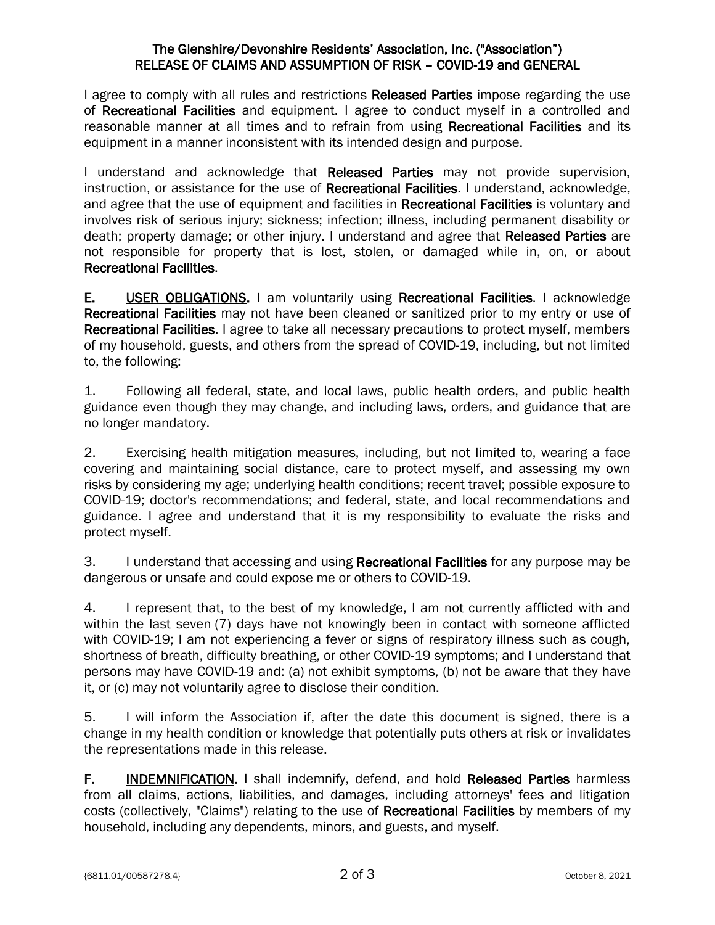## The Glenshire/Devonshire Residents' Association, Inc. ("Association") RELEASE OF CLAIMS AND ASSUMPTION OF RISK – COVID-19 and GENERAL

I agree to comply with all rules and restrictions Released Parties impose regarding the use of Recreational Facilities and equipment. I agree to conduct myself in a controlled and reasonable manner at all times and to refrain from using Recreational Facilities and its equipment in a manner inconsistent with its intended design and purpose.

I understand and acknowledge that Released Parties may not provide supervision, instruction, or assistance for the use of Recreational Facilities. I understand, acknowledge, and agree that the use of equipment and facilities in Recreational Facilities is voluntary and involves risk of serious injury; sickness; infection; illness, including permanent disability or death; property damage; or other injury. I understand and agree that Released Parties are not responsible for property that is lost, stolen, or damaged while in, on, or about Recreational Facilities.

E. USER OBLIGATIONS. I am voluntarily using Recreational Facilities. I acknowledge Recreational Facilities may not have been cleaned or sanitized prior to my entry or use of Recreational Facilities. I agree to take all necessary precautions to protect myself, members of my household, guests, and others from the spread of COVID-19, including, but not limited to, the following:

1. Following all federal, state, and local laws, public health orders, and public health guidance even though they may change, and including laws, orders, and guidance that are no longer mandatory.

2. Exercising health mitigation measures, including, but not limited to, wearing a face covering and maintaining social distance, care to protect myself, and assessing my own risks by considering my age; underlying health conditions; recent travel; possible exposure to COVID-19; doctor's recommendations; and federal, state, and local recommendations and guidance. I agree and understand that it is my responsibility to evaluate the risks and protect myself.

3. I understand that accessing and using Recreational Facilities for any purpose may be dangerous or unsafe and could expose me or others to COVID-19.

4. I represent that, to the best of my knowledge, I am not currently afflicted with and within the last seven (7) days have not knowingly been in contact with someone afflicted with COVID-19; I am not experiencing a fever or signs of respiratory illness such as cough, shortness of breath, difficulty breathing, or other COVID-19 symptoms; and I understand that persons may have COVID-19 and: (a) not exhibit symptoms, (b) not be aware that they have it, or (c) may not voluntarily agree to disclose their condition.

5. I will inform the Association if, after the date this document is signed, there is a change in my health condition or knowledge that potentially puts others at risk or invalidates the representations made in this release.

F. **INDEMNIFICATION.** I shall indemnify, defend, and hold Released Parties harmless from all claims, actions, liabilities, and damages, including attorneys' fees and litigation costs (collectively, "Claims") relating to the use of Recreational Facilities by members of my household, including any dependents, minors, and guests, and myself.